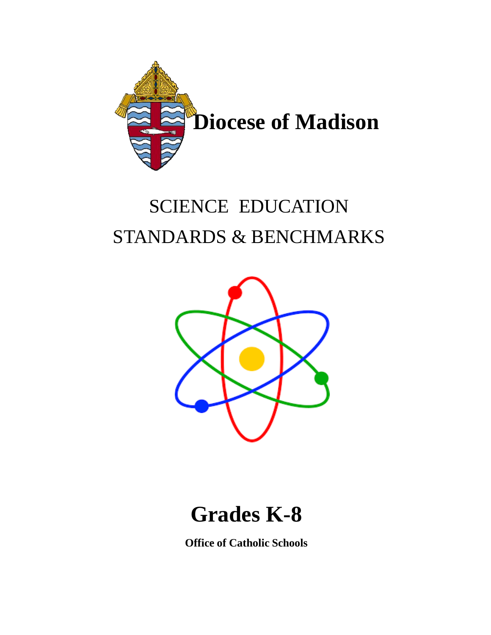

## SCIENCE EDUCATION STANDARDS & BENCHMARKS



## **Grades K-8**

**Office of Catholic Schools**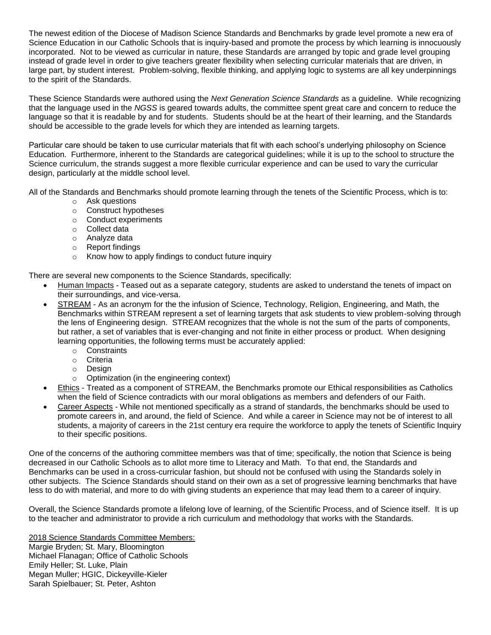The newest edition of the Diocese of Madison Science Standards and Benchmarks by grade level promote a new era of Science Education in our Catholic Schools that is inquiry-based and promote the process by which learning is innocuously incorporated. Not to be viewed as curricular in nature, these Standards are arranged by topic and grade level grouping instead of grade level in order to give teachers greater flexibility when selecting curricular materials that are driven, in large part, by student interest. Problem-solving, flexible thinking, and applying logic to systems are all key underpinnings to the spirit of the Standards.

These Science Standards were authored using the *Next Generation Science Standards* as a guideline. While recognizing that the language used in the *NGSS* is geared towards adults, the committee spent great care and concern to reduce the language so that it is readable by and for students. Students should be at the heart of their learning, and the Standards should be accessible to the grade levels for which they are intended as learning targets.

Particular care should be taken to use curricular materials that fit with each school's underlying philosophy on Science Education. Furthermore, inherent to the Standards are categorical guidelines; while it is up to the school to structure the Science curriculum, the strands suggest a more flexible curricular experience and can be used to vary the curricular design, particularly at the middle school level.

All of the Standards and Benchmarks should promote learning through the tenets of the Scientific Process, which is to:

- o Ask questions
- o Construct hypotheses
- o Conduct experiments
- o Collect data
- o Analyze data
- o Report findings
- o Know how to apply findings to conduct future inquiry

There are several new components to the Science Standards, specifically:

- Human Impacts Teased out as a separate category, students are asked to understand the tenets of impact on their surroundings, and vice-versa.
- STREAM As an acronym for the the infusion of Science, Technology, Religion, Engineering, and Math, the Benchmarks within STREAM represent a set of learning targets that ask students to view problem-solving through the lens of Engineering design. STREAM recognizes that the whole is not the sum of the parts of components, but rather, a set of variables that is ever-changing and not finite in either process or product. When designing learning opportunities, the following terms must be accurately applied:
	- o Constraints
	- o Criteria
	- o Design
	- o Optimization (in the engineering context)
- Ethics Treated as a component of STREAM, the Benchmarks promote our Ethical responsibilities as Catholics when the field of Science contradicts with our moral obligations as members and defenders of our Faith.
- Career Aspects While not mentioned specifically as a strand of standards, the benchmarks should be used to promote careers in, and around, the field of Science. And while a career in Science may not be of interest to all students, a majority of careers in the 21st century era require the workforce to apply the tenets of Scientific Inquiry to their specific positions.

One of the concerns of the authoring committee members was that of time; specifically, the notion that Science is being decreased in our Catholic Schools as to allot more time to Literacy and Math. To that end, the Standards and Benchmarks can be used in a cross-curricular fashion, but should not be confused with using the Standards solely in other subjects. The Science Standards should stand on their own as a set of progressive learning benchmarks that have less to do with material, and more to do with giving students an experience that may lead them to a career of inquiry.

Overall, the Science Standards promote a lifelong love of learning, of the Scientific Process, and of Science itself. It is up to the teacher and administrator to provide a rich curriculum and methodology that works with the Standards.

2018 Science Standards Committee Members: Margie Bryden; St. Mary, Bloomington Michael Flanagan; Office of Catholic Schools Emily Heller; St. Luke, Plain Megan Muller; HGIC, Dickeyville-Kieler Sarah Spielbauer; St. Peter, Ashton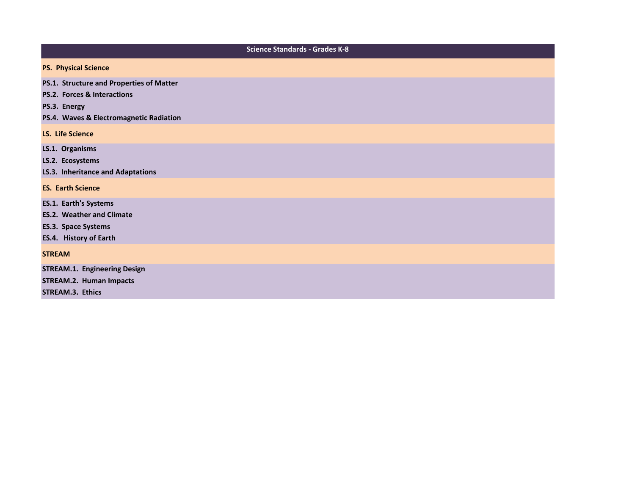| <b>Science Standards - Grades K-8</b>                                                                                                         |
|-----------------------------------------------------------------------------------------------------------------------------------------------|
| <b>PS. Physical Science</b>                                                                                                                   |
| PS.1. Structure and Properties of Matter<br><b>PS.2. Forces &amp; Interactions</b><br>PS.3. Energy<br>PS.4. Waves & Electromagnetic Radiation |
| <b>LS. Life Science</b>                                                                                                                       |
| LS.1. Organisms<br>LS.2. Ecosystems<br>LS.3. Inheritance and Adaptations                                                                      |
| <b>ES. Earth Science</b>                                                                                                                      |
| <b>ES.1. Earth's Systems</b><br><b>ES.2. Weather and Climate</b><br><b>ES.3. Space Systems</b><br>ES.4. History of Earth                      |
| <b>STREAM</b>                                                                                                                                 |
| <b>STREAM.1. Engineering Design</b><br><b>STREAM.2. Human Impacts</b><br><b>STREAM.3. Ethics</b>                                              |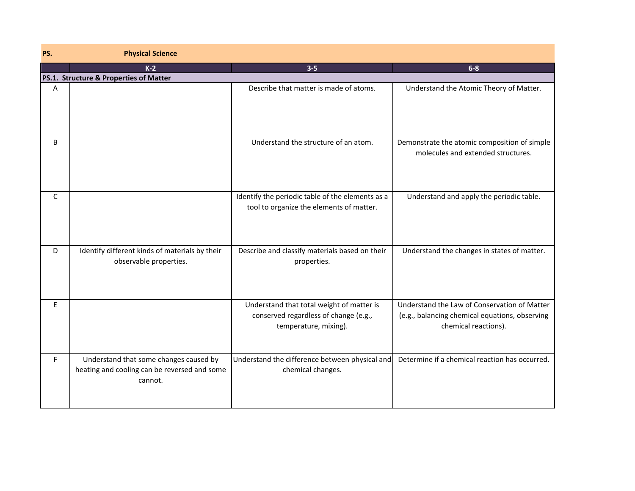| PS.          | <b>Physical Science</b>                                                                           |                                                                                                             |                                                                                                                        |
|--------------|---------------------------------------------------------------------------------------------------|-------------------------------------------------------------------------------------------------------------|------------------------------------------------------------------------------------------------------------------------|
|              | $K-2$                                                                                             | $3 - 5$                                                                                                     | $6-8$                                                                                                                  |
|              | PS.1. Structure & Properties of Matter                                                            |                                                                                                             |                                                                                                                        |
| Α            |                                                                                                   | Describe that matter is made of atoms.                                                                      | Understand the Atomic Theory of Matter.                                                                                |
| B            |                                                                                                   | Understand the structure of an atom.                                                                        | Demonstrate the atomic composition of simple<br>molecules and extended structures.                                     |
| $\mathsf{C}$ |                                                                                                   | Identify the periodic table of the elements as a<br>tool to organize the elements of matter.                | Understand and apply the periodic table.                                                                               |
| D            | Identify different kinds of materials by their<br>observable properties.                          | Describe and classify materials based on their<br>properties.                                               | Understand the changes in states of matter.                                                                            |
| E            |                                                                                                   | Understand that total weight of matter is<br>conserved regardless of change (e.g.,<br>temperature, mixing). | Understand the Law of Conservation of Matter<br>(e.g., balancing chemical equations, observing<br>chemical reactions). |
| F            | Understand that some changes caused by<br>heating and cooling can be reversed and some<br>cannot. | Understand the difference between physical and<br>chemical changes.                                         | Determine if a chemical reaction has occurred.                                                                         |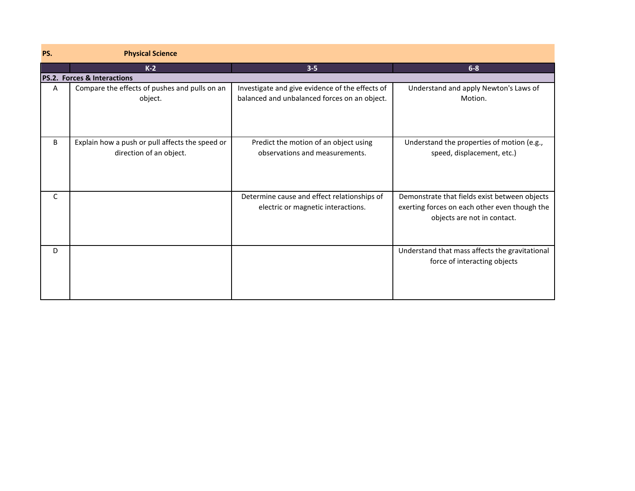| PS. | <b>Physical Science</b>                                                    |                                                                                                 |                                                                                                                               |
|-----|----------------------------------------------------------------------------|-------------------------------------------------------------------------------------------------|-------------------------------------------------------------------------------------------------------------------------------|
|     | $K-2$                                                                      | $3 - 5$                                                                                         | $6 - 8$                                                                                                                       |
|     | <b>PS.2. Forces &amp; Interactions</b>                                     |                                                                                                 |                                                                                                                               |
| A   | Compare the effects of pushes and pulls on an<br>object.                   | Investigate and give evidence of the effects of<br>balanced and unbalanced forces on an object. | Understand and apply Newton's Laws of<br>Motion.                                                                              |
| B   | Explain how a push or pull affects the speed or<br>direction of an object. | Predict the motion of an object using<br>observations and measurements.                         | Understand the properties of motion (e.g.,<br>speed, displacement, etc.)                                                      |
| C   |                                                                            | Determine cause and effect relationships of<br>electric or magnetic interactions.               | Demonstrate that fields exist between objects<br>exerting forces on each other even though the<br>objects are not in contact. |
| D   |                                                                            |                                                                                                 | Understand that mass affects the gravitational<br>force of interacting objects                                                |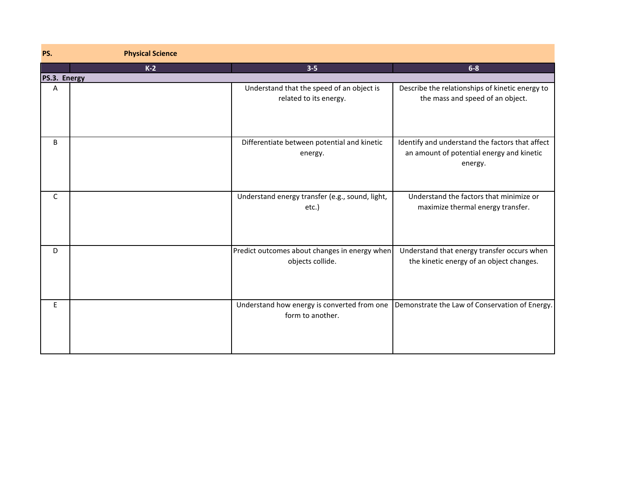| PS.          | <b>Physical Science</b> |                                                                     |                                                                                                         |
|--------------|-------------------------|---------------------------------------------------------------------|---------------------------------------------------------------------------------------------------------|
|              | $K-2$                   | $3 - 5$                                                             | $6-8$                                                                                                   |
| PS.3. Energy |                         |                                                                     |                                                                                                         |
| Α            |                         | Understand that the speed of an object is<br>related to its energy. | Describe the relationships of kinetic energy to<br>the mass and speed of an object.                     |
| B            |                         | Differentiate between potential and kinetic<br>energy.              | Identify and understand the factors that affect<br>an amount of potential energy and kinetic<br>energy. |
| C            |                         | Understand energy transfer (e.g., sound, light,<br>etc.)            | Understand the factors that minimize or<br>maximize thermal energy transfer.                            |
| D            |                         | Predict outcomes about changes in energy when<br>objects collide.   | Understand that energy transfer occurs when<br>the kinetic energy of an object changes.                 |
| E            |                         | Understand how energy is converted from one<br>form to another.     | Demonstrate the Law of Conservation of Energy.                                                          |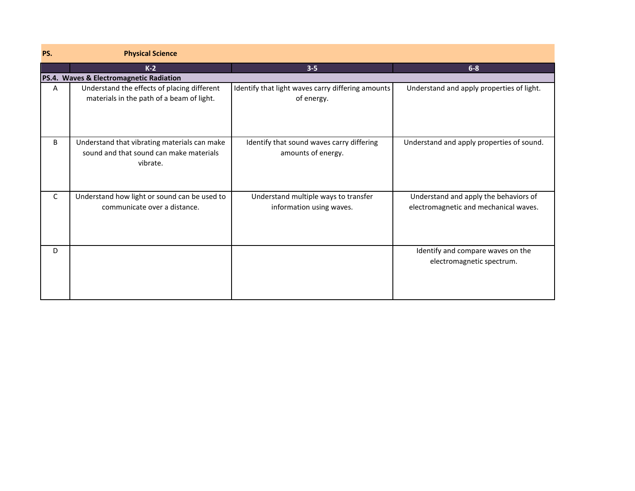| PS. | <b>Physical Science</b>                                                                             |                                                                  |                                                                                |
|-----|-----------------------------------------------------------------------------------------------------|------------------------------------------------------------------|--------------------------------------------------------------------------------|
|     | $K-2$                                                                                               | $3 - 5$                                                          | $6 - 8$                                                                        |
|     | PS.4. Waves & Electromagnetic Radiation                                                             |                                                                  |                                                                                |
| Α   | Understand the effects of placing different<br>materials in the path of a beam of light.            | Identify that light waves carry differing amounts<br>of energy.  | Understand and apply properties of light.                                      |
| B   | Understand that vibrating materials can make<br>sound and that sound can make materials<br>vibrate. | Identify that sound waves carry differing<br>amounts of energy.  | Understand and apply properties of sound.                                      |
| C   | Understand how light or sound can be used to<br>communicate over a distance.                        | Understand multiple ways to transfer<br>information using waves. | Understand and apply the behaviors of<br>electromagnetic and mechanical waves. |
| D   |                                                                                                     |                                                                  | Identify and compare waves on the<br>electromagnetic spectrum.                 |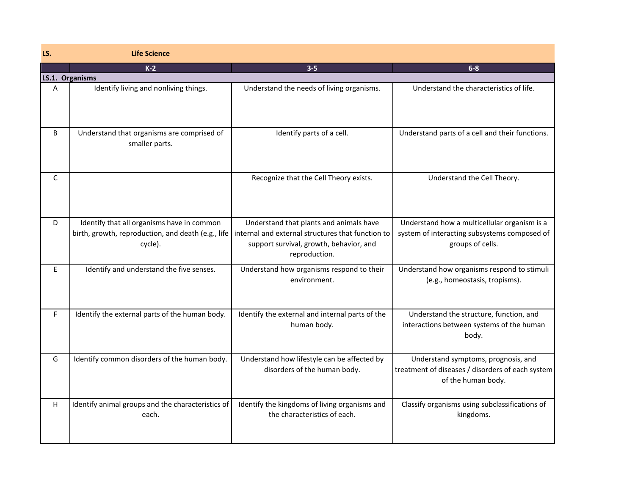| LS. | <b>Life Science</b>                                                                                         |                                                                                                                                                          |                                                                                                                  |
|-----|-------------------------------------------------------------------------------------------------------------|----------------------------------------------------------------------------------------------------------------------------------------------------------|------------------------------------------------------------------------------------------------------------------|
|     | $K-2$                                                                                                       | $3 - 5$                                                                                                                                                  | $6-8$                                                                                                            |
|     | LS.1. Organisms                                                                                             |                                                                                                                                                          |                                                                                                                  |
| A   | Identify living and nonliving things.                                                                       | Understand the needs of living organisms.                                                                                                                | Understand the characteristics of life.                                                                          |
| B   | Understand that organisms are comprised of<br>smaller parts.                                                | Identify parts of a cell.                                                                                                                                | Understand parts of a cell and their functions.                                                                  |
| C   |                                                                                                             | Recognize that the Cell Theory exists.                                                                                                                   | Understand the Cell Theory.                                                                                      |
| D   | Identify that all organisms have in common<br>birth, growth, reproduction, and death (e.g., life<br>cycle). | Understand that plants and animals have<br>internal and external structures that function to<br>support survival, growth, behavior, and<br>reproduction. | Understand how a multicellular organism is a<br>system of interacting subsystems composed of<br>groups of cells. |
| E   | Identify and understand the five senses.                                                                    | Understand how organisms respond to their<br>environment.                                                                                                | Understand how organisms respond to stimuli<br>(e.g., homeostasis, tropisms).                                    |
| F   | Identify the external parts of the human body.                                                              | Identify the external and internal parts of the<br>human body.                                                                                           | Understand the structure, function, and<br>interactions between systems of the human<br>body.                    |
| G   | Identify common disorders of the human body.                                                                | Understand how lifestyle can be affected by<br>disorders of the human body.                                                                              | Understand symptoms, prognosis, and<br>treatment of diseases / disorders of each system<br>of the human body.    |
| H.  | Identify animal groups and the characteristics of<br>each.                                                  | Identify the kingdoms of living organisms and<br>the characteristics of each.                                                                            | Classify organisms using subclassifications of<br>kingdoms.                                                      |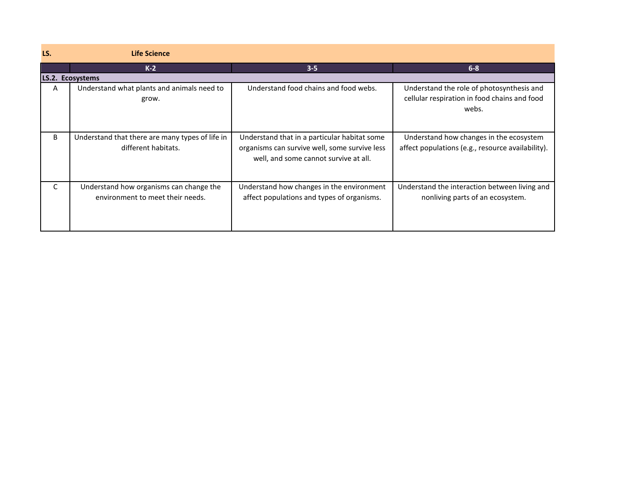| LS. | <b>Life Science</b>                                                         |                                                                                                                                        |                                                                                                    |
|-----|-----------------------------------------------------------------------------|----------------------------------------------------------------------------------------------------------------------------------------|----------------------------------------------------------------------------------------------------|
|     | $K-2$                                                                       | $3 - 5$                                                                                                                                | $6 - 8$                                                                                            |
|     | LS.2. Ecosystems                                                            |                                                                                                                                        |                                                                                                    |
| A   | Understand what plants and animals need to<br>grow.                         | Understand food chains and food webs.                                                                                                  | Understand the role of photosynthesis and<br>cellular respiration in food chains and food<br>webs. |
| B   | Understand that there are many types of life in<br>different habitats.      | Understand that in a particular habitat some<br>organisms can survive well, some survive less<br>well, and some cannot survive at all. | Understand how changes in the ecosystem<br>affect populations (e.g., resource availability).       |
| C   | Understand how organisms can change the<br>environment to meet their needs. | Understand how changes in the environment<br>affect populations and types of organisms.                                                | Understand the interaction between living and<br>nonliving parts of an ecosystem.                  |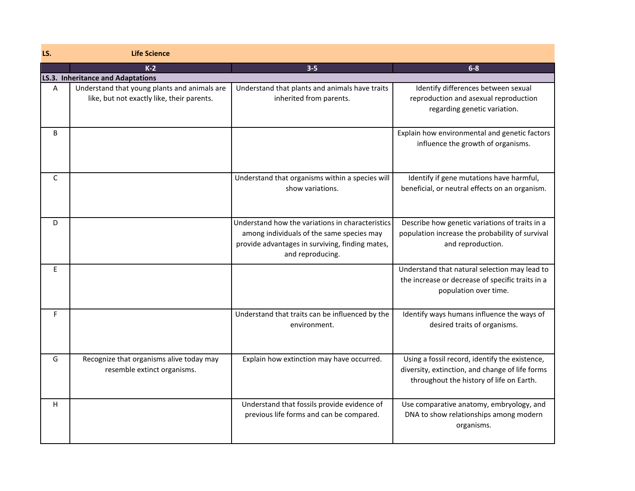| LS. | <b>Life Science</b>                                                                        |                                                                                                                                                                      |                                                                                                                                               |
|-----|--------------------------------------------------------------------------------------------|----------------------------------------------------------------------------------------------------------------------------------------------------------------------|-----------------------------------------------------------------------------------------------------------------------------------------------|
|     | $K-2$                                                                                      | $3 - 5$                                                                                                                                                              | $6-8$                                                                                                                                         |
|     | LS.3. Inheritance and Adaptations                                                          |                                                                                                                                                                      |                                                                                                                                               |
| A   | Understand that young plants and animals are<br>like, but not exactly like, their parents. | Understand that plants and animals have traits<br>inherited from parents.                                                                                            | Identify differences between sexual<br>reproduction and asexual reproduction<br>regarding genetic variation.                                  |
| B   |                                                                                            |                                                                                                                                                                      | Explain how environmental and genetic factors<br>influence the growth of organisms.                                                           |
| C   |                                                                                            | Understand that organisms within a species will<br>show variations.                                                                                                  | Identify if gene mutations have harmful,<br>beneficial, or neutral effects on an organism.                                                    |
| D   |                                                                                            | Understand how the variations in characteristics<br>among individuals of the same species may<br>provide advantages in surviving, finding mates,<br>and reproducing. | Describe how genetic variations of traits in a<br>population increase the probability of survival<br>and reproduction.                        |
| E   |                                                                                            |                                                                                                                                                                      | Understand that natural selection may lead to<br>the increase or decrease of specific traits in a<br>population over time.                    |
| F.  |                                                                                            | Understand that traits can be influenced by the<br>environment.                                                                                                      | Identify ways humans influence the ways of<br>desired traits of organisms.                                                                    |
| G   | Recognize that organisms alive today may<br>resemble extinct organisms.                    | Explain how extinction may have occurred.                                                                                                                            | Using a fossil record, identify the existence,<br>diversity, extinction, and change of life forms<br>throughout the history of life on Earth. |
| H   |                                                                                            | Understand that fossils provide evidence of<br>previous life forms and can be compared.                                                                              | Use comparative anatomy, embryology, and<br>DNA to show relationships among modern<br>organisms.                                              |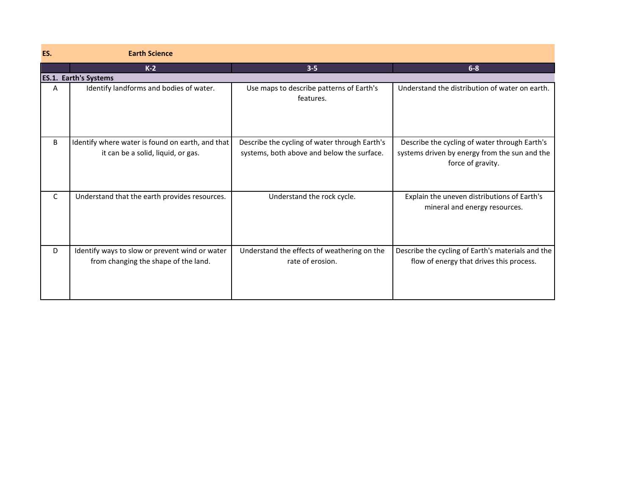| ES. | <b>Earth Science</b>                                                                   |                                                                                             |                                                                                                                     |
|-----|----------------------------------------------------------------------------------------|---------------------------------------------------------------------------------------------|---------------------------------------------------------------------------------------------------------------------|
|     | $K-2$                                                                                  | $3 - 5$                                                                                     | $6 - 8$                                                                                                             |
|     | <b>ES.1. Earth's Systems</b>                                                           |                                                                                             |                                                                                                                     |
| A   | Identify landforms and bodies of water.                                                | Use maps to describe patterns of Earth's<br>features.                                       | Understand the distribution of water on earth.                                                                      |
| B   | Identify where water is found on earth, and that<br>it can be a solid, liquid, or gas. | Describe the cycling of water through Earth's<br>systems, both above and below the surface. | Describe the cycling of water through Earth's<br>systems driven by energy from the sun and the<br>force of gravity. |
| C   | Understand that the earth provides resources.                                          | Understand the rock cycle.                                                                  | Explain the uneven distributions of Earth's<br>mineral and energy resources.                                        |
| D   | Identify ways to slow or prevent wind or water<br>from changing the shape of the land. | Understand the effects of weathering on the<br>rate of erosion.                             | Describe the cycling of Earth's materials and the<br>flow of energy that drives this process.                       |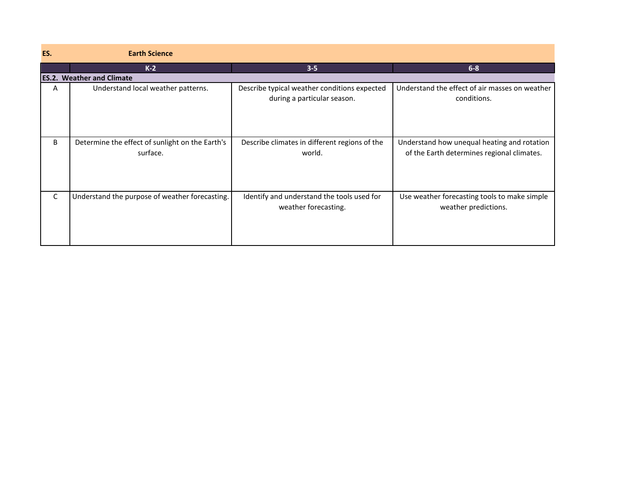| ES. | <b>Earth Science</b>                                        |                                                                             |                                                                                           |
|-----|-------------------------------------------------------------|-----------------------------------------------------------------------------|-------------------------------------------------------------------------------------------|
|     | $K-2$                                                       | $3 - 5$                                                                     | $6 - 8$                                                                                   |
|     | <b>ES.2. Weather and Climate</b>                            |                                                                             |                                                                                           |
| A   | Understand local weather patterns.                          | Describe typical weather conditions expected<br>during a particular season. | Understand the effect of air masses on weather<br>conditions.                             |
| B   | Determine the effect of sunlight on the Earth's<br>surface. | Describe climates in different regions of the<br>world.                     | Understand how unequal heating and rotation<br>of the Earth determines regional climates. |
| C   | Understand the purpose of weather forecasting.              | Identify and understand the tools used for<br>weather forecasting.          | Use weather forecasting tools to make simple<br>weather predictions.                      |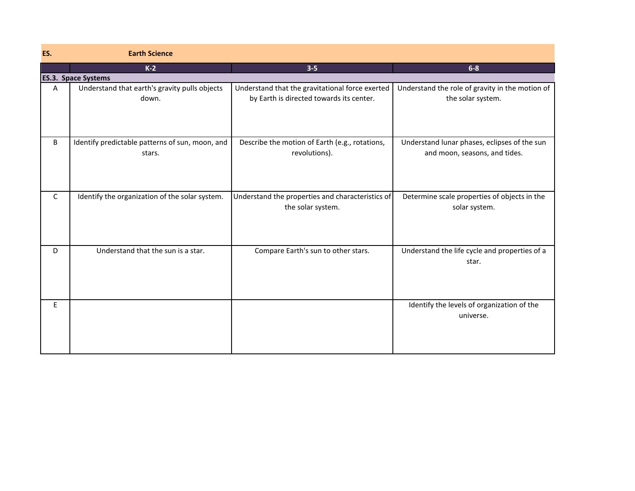| ES.          | <b>Earth Science</b>                                      |                                                                                             |                                                                               |
|--------------|-----------------------------------------------------------|---------------------------------------------------------------------------------------------|-------------------------------------------------------------------------------|
|              | $K-2$                                                     | $3 - 5$                                                                                     | $6-8$                                                                         |
|              | <b>ES.3. Space Systems</b>                                |                                                                                             |                                                                               |
| Α            | Understand that earth's gravity pulls objects<br>down.    | Understand that the gravitational force exerted<br>by Earth is directed towards its center. | Understand the role of gravity in the motion of<br>the solar system.          |
| B            | Identify predictable patterns of sun, moon, and<br>stars. | Describe the motion of Earth (e.g., rotations,<br>revolutions).                             | Understand lunar phases, eclipses of the sun<br>and moon, seasons, and tides. |
| $\mathsf{C}$ | Identify the organization of the solar system.            | Understand the properties and characteristics of<br>the solar system.                       | Determine scale properties of objects in the<br>solar system.                 |
| D            | Understand that the sun is a star.                        | Compare Earth's sun to other stars.                                                         | Understand the life cycle and properties of a<br>star.                        |
| E            |                                                           |                                                                                             | Identify the levels of organization of the<br>universe.                       |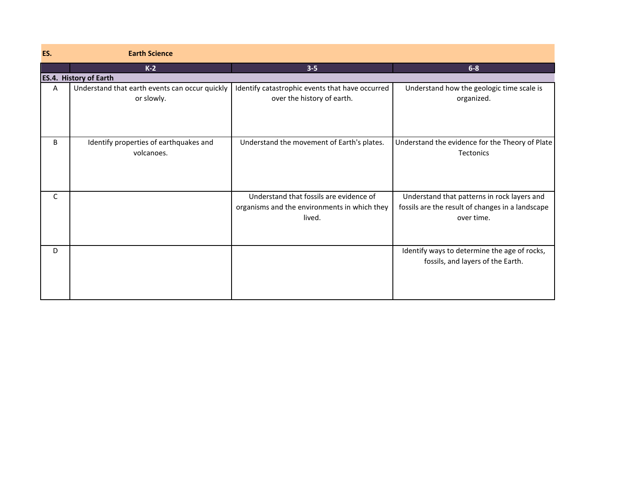| ES. | <b>Earth Science</b>                                         |                                                                                                   |                                                                                                               |
|-----|--------------------------------------------------------------|---------------------------------------------------------------------------------------------------|---------------------------------------------------------------------------------------------------------------|
|     | $K-2$                                                        | $3 - 5$                                                                                           | $6 - 8$                                                                                                       |
|     | <b>ES.4. History of Earth</b>                                |                                                                                                   |                                                                                                               |
| Α   | Understand that earth events can occur quickly<br>or slowly. | Identify catastrophic events that have occurred<br>over the history of earth.                     | Understand how the geologic time scale is<br>organized.                                                       |
| B   | Identify properties of earthquakes and<br>volcanoes.         | Understand the movement of Earth's plates.                                                        | Understand the evidence for the Theory of Plate<br><b>Tectonics</b>                                           |
| C   |                                                              | Understand that fossils are evidence of<br>organisms and the environments in which they<br>lived. | Understand that patterns in rock layers and<br>fossils are the result of changes in a landscape<br>over time. |
| D   |                                                              |                                                                                                   | Identify ways to determine the age of rocks,<br>fossils, and layers of the Earth.                             |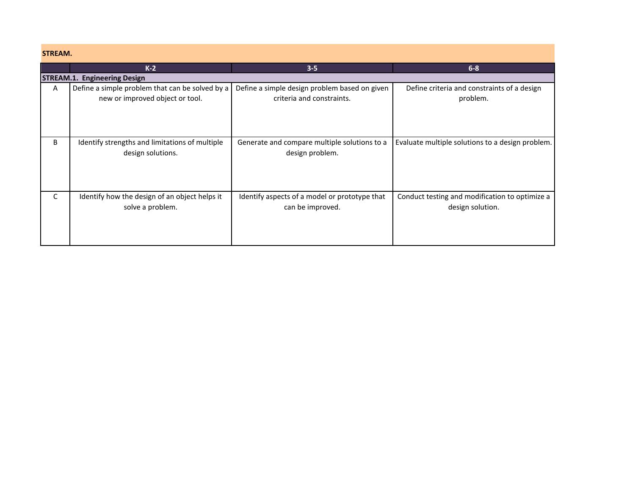| STREAM. |                                                 |                                               |                                                  |
|---------|-------------------------------------------------|-----------------------------------------------|--------------------------------------------------|
|         | $K-2$                                           | $3 - 5$                                       | $6 - 8$                                          |
|         | <b>STREAM.1. Engineering Design</b>             |                                               |                                                  |
| A       | Define a simple problem that can be solved by a | Define a simple design problem based on given | Define criteria and constraints of a design      |
|         | new or improved object or tool.                 | criteria and constraints.                     | problem.                                         |
|         |                                                 |                                               |                                                  |
|         |                                                 |                                               |                                                  |
|         |                                                 |                                               |                                                  |
| B       | Identify strengths and limitations of multiple  | Generate and compare multiple solutions to a  | Evaluate multiple solutions to a design problem. |
|         | design solutions.                               | design problem.                               |                                                  |
|         |                                                 |                                               |                                                  |
|         |                                                 |                                               |                                                  |
|         |                                                 |                                               |                                                  |
|         |                                                 |                                               |                                                  |
| C       | Identify how the design of an object helps it   | Identify aspects of a model or prototype that | Conduct testing and modification to optimize a   |
|         | solve a problem.                                | can be improved.                              | design solution.                                 |
|         |                                                 |                                               |                                                  |
|         |                                                 |                                               |                                                  |
|         |                                                 |                                               |                                                  |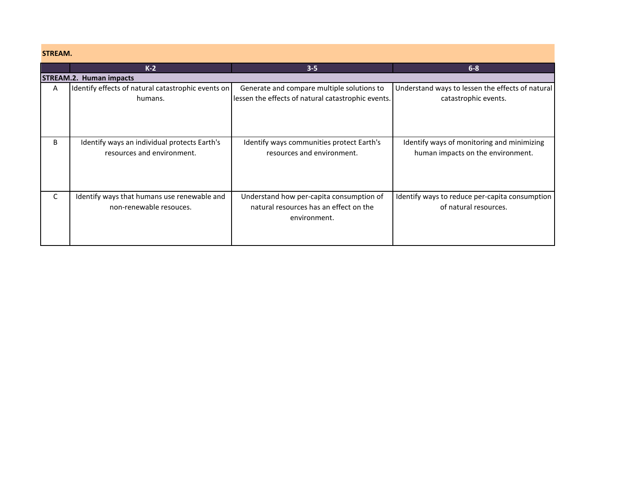| <b>STREAM.</b> |  |  |  |
|----------------|--|--|--|
|                |  |  |  |

**Contract** 

| <b>STREAM.</b> |                                                                            |                                                                                                    |                                                                                 |
|----------------|----------------------------------------------------------------------------|----------------------------------------------------------------------------------------------------|---------------------------------------------------------------------------------|
|                | $K-2$                                                                      | $3 - 5$                                                                                            | $6 - 8$                                                                         |
|                | <b>STREAM.2. Human impacts</b>                                             |                                                                                                    |                                                                                 |
| A              | Identify effects of natural catastrophic events on<br>humans.              | Generate and compare multiple solutions to<br>lessen the effects of natural catastrophic events.   | Understand ways to lessen the effects of natural<br>catastrophic events.        |
| B              | Identify ways an individual protects Earth's<br>resources and environment. | Identify ways communities protect Earth's<br>resources and environment.                            | Identify ways of monitoring and minimizing<br>human impacts on the environment. |
| C              | Identify ways that humans use renewable and<br>non-renewable resouces.     | Understand how per-capita consumption of<br>natural resources has an effect on the<br>environment. | Identify ways to reduce per-capita consumption<br>of natural resources.         |